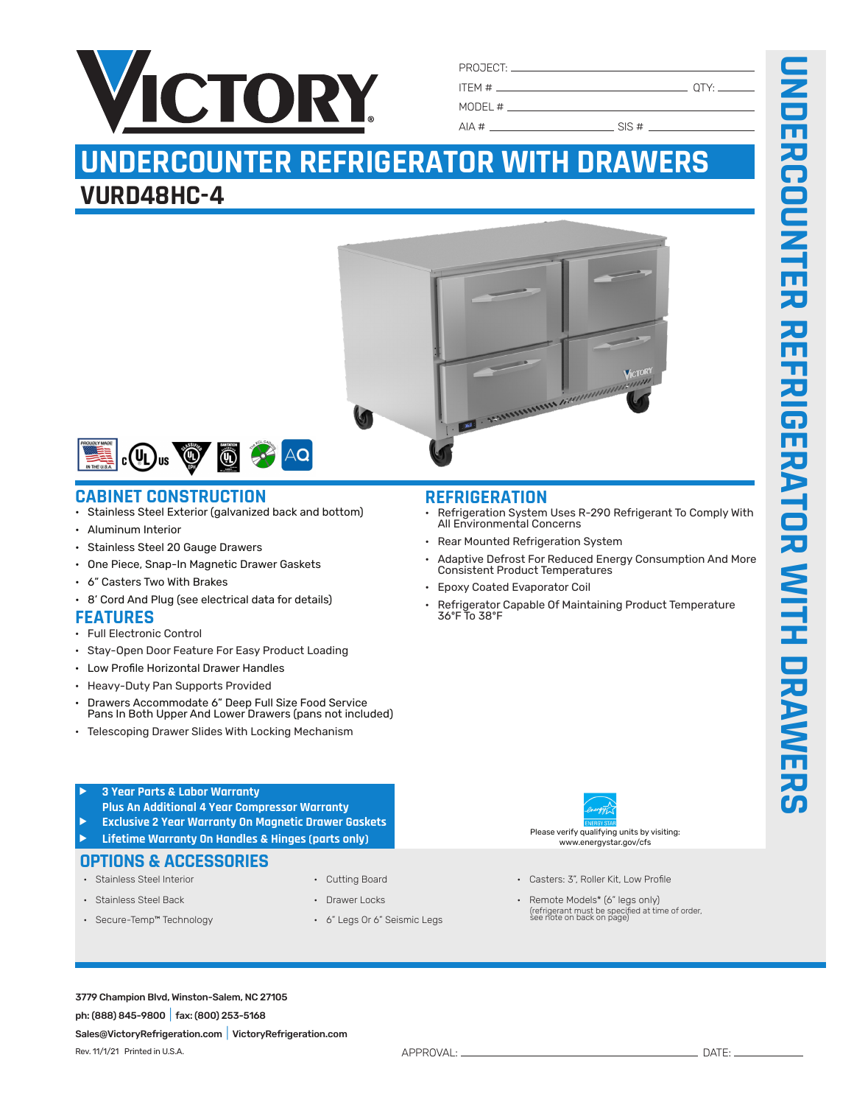

| PROJECT: |      |
|----------|------|
| ITEM #   | OTY: |
| MODEL#   |      |

 $AIA \#$  SIS #

# **UNDERCOUNTER REFRIGERATOR WITH DRAWERS**

## **VURD48HC-4**





## **CABINET CONSTRUCTION**

- Stainless Steel Exterior (galvanized back and bottom)
- Aluminum Interior
- Stainless Steel 20 Gauge Drawers
- One Piece, Snap-In Magnetic Drawer Gaskets
- 6" Casters Two With Brakes
- 8' Cord And Plug (see electrical data for details)

### **FEATURES**

- Full Electronic Control
- Stay-Open Door Feature For Easy Product Loading
- Low Profile Horizontal Drawer Handles
- Heavy-Duty Pan Supports Provided
- Drawers Accommodate 6" Deep Full Size Food Service Pans In Both Upper And Lower Drawers (pans not included)
- Telescoping Drawer Slides With Locking Mechanism

### **REFRIGERATION**

- Refrigeration System Uses R-290 Refrigerant To Comply With All Environmental Concerns
- Rear Mounted Refrigeration System
- Adaptive Defrost For Reduced Energy Consumption And More Consistent Product Temperatures
- Epoxy Coated Evaporator Coil
- Refrigerator Capable Of Maintaining Product Temperature 36ºF To 38ºF



- Cutting Board Casters: 3", Roller Kit, Low Profile
- Stainless Steel Back Crawer Locks Drawer Locks Remote Models\* (6" legs only) (refrigerant must be specified at time of order, see note on back on page)

#### f **3 Year Parts & Labor Warranty Plus An Additional 4 Year Compressor Warranty**

- f **Exclusive 2 Year Warranty On Magnetic Drawer Gaskets**
- f **Lifetime Warranty On Handles & Hinges (parts only)**

## **OPTIONS & ACCESSORIES**<br> **•** Stainless Steel Interior

- 
- 
- Secure-Temp™ Technology 6" Legs Or 6" Seismic Legs
- 
- -

3779 Champion Blvd, Winston-Salem, NC 27105 ph: (888) 845-9800|fax: (800) 253-5168 Sales@VictoryRefrigeration.com|VictoryRefrigeration.com

APPROVAL: DATE: